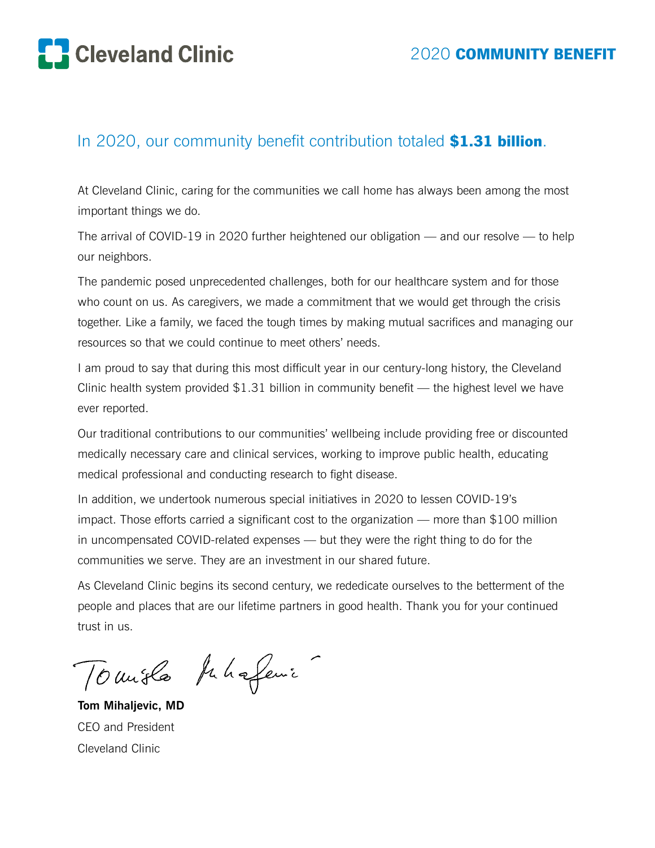

# In 2020, our community benefit contribution totaled \$1.31 billion.

At Cleveland Clinic, caring for the communities we call home has always been among the most important things we do.

The arrival of COVID-19 in 2020 further heightened our obligation — and our resolve — to help our neighbors.

The pandemic posed unprecedented challenges, both for our healthcare system and for those who count on us. As caregivers, we made a commitment that we would get through the crisis together. Like a family, we faced the tough times by making mutual sacrifices and managing our resources so that we could continue to meet others' needs.

I am proud to say that during this most difficult year in our century-long history, the Cleveland Clinic health system provided \$1.31 billion in community benefit — the highest level we have ever reported.

Our traditional contributions to our communities' wellbeing include providing free or discounted medically necessary care and clinical services, working to improve public health, educating medical professional and conducting research to fight disease.

In addition, we undertook numerous special initiatives in 2020 to lessen COVID-19's impact. Those efforts carried a significant cost to the organization — more than \$100 million in uncompensated COVID-related expenses — but they were the right thing to do for the communities we serve. They are an investment in our shared future.

As Cleveland Clinic begins its second century, we rededicate ourselves to the betterment of the people and places that are our lifetime partners in good health. Thank you for your continued trust in us.

Toursla phageni

**Tom Mihaljevic, MD** CEO and President Cleveland Clinic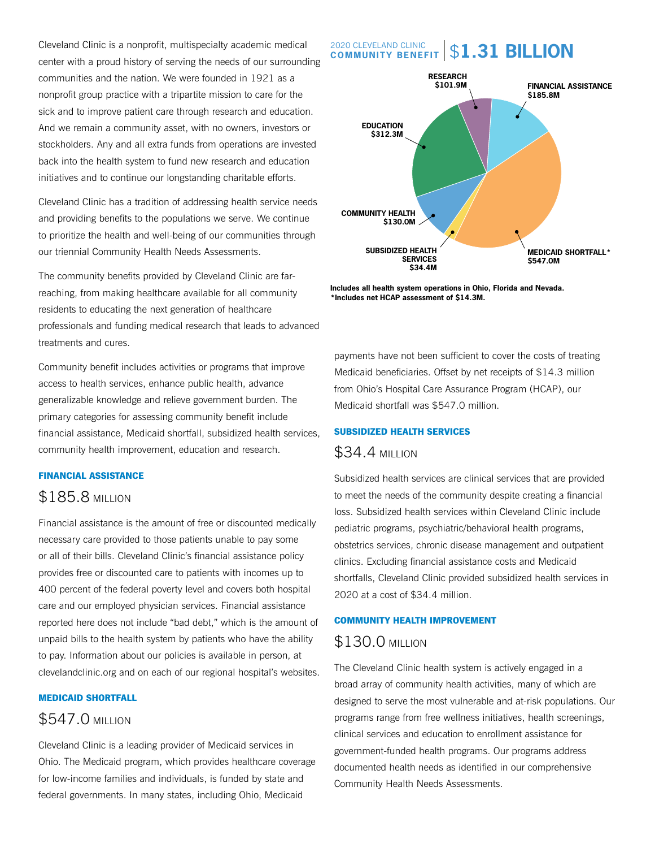Cleveland Clinic is a nonprofit, multispecialty academic medical center with a proud history of serving the needs of our surrounding communities and the nation. We were founded in 1921 as a nonprofit group practice with a tripartite mission to care for the sick and to improve patient care through research and education. And we remain a community asset, with no owners, investors or stockholders. Any and all extra funds from operations are invested back into the health system to fund new research and education initiatives and to continue our longstanding charitable efforts.

Cleveland Clinic has a tradition of addressing health service needs and providing benefits to the populations we serve. We continue to prioritize the health and well-being of our communities through our triennial Community Health Needs Assessments.

The community benefits provided by Cleveland Clinic are farreaching, from making healthcare available for all community residents to educating the next generation of healthcare professionals and funding medical research that leads to advanced treatments and cures.

Community benefit includes activities or programs that improve access to health services, enhance public health, advance generalizable knowledge and relieve government burden. The primary categories for assessing community benefit include financial assistance, Medicaid shortfall, subsidized health services, community health improvement, education and research.

#### FINANCIAL ASSISTANCE

## \$185.8 MILLION

Financial assistance is the amount of free or discounted medically necessary care provided to those patients unable to pay some or all of their bills. Cleveland Clinic's financial assistance policy provides free or discounted care to patients with incomes up to 400 percent of the federal poverty level and covers both hospital care and our employed physician services. Financial assistance reported here does not include "bad debt," which is the amount of unpaid bills to the health system by patients who have the ability to pay. Information about our policies is available in person, at clevelandclinic.org and on each of our regional hospital's websites.

### MEDICAID SHORTFALL

## \$547.0 MILLION

Cleveland Clinic is a leading provider of Medicaid services in Ohio. The Medicaid program, which provides healthcare coverage for low-income families and individuals, is funded by state and federal governments. In many states, including Ohio, Medicaid

#### 2020 CLEVELAND CLINIC **COMMUNITY BENEFIT** \$**1.31 BILLION**



**Includes all health system operations in Ohio, Florida and Nevada. \*Includes net HCAP assessment of \$14.3M.**

payments have not been sufficient to cover the costs of treating Medicaid beneficiaries. Offset by net receipts of \$14.3 million from Ohio's Hospital Care Assurance Program (HCAP), our Medicaid shortfall was \$547.0 million.

### SUBSIDIZED HEALTH SERVICES

## \$34.4 MILLION

Subsidized health services are clinical services that are provided to meet the needs of the community despite creating a financial loss. Subsidized health services within Cleveland Clinic include pediatric programs, psychiatric/behavioral health programs, obstetrics services, chronic disease management and outpatient clinics. Excluding financial assistance costs and Medicaid shortfalls, Cleveland Clinic provided subsidized health services in 2020 at a cost of \$34.4 million.

#### COMMUNITY HEALTH IMPROVEMENT

## \$130.0 MILLION

The Cleveland Clinic health system is actively engaged in a broad array of community health activities, many of which are designed to serve the most vulnerable and at-risk populations. Our programs range from free wellness initiatives, health screenings, clinical services and education to enrollment assistance for government-funded health programs. Our programs address documented health needs as identified in our comprehensive Community Health Needs Assessments.